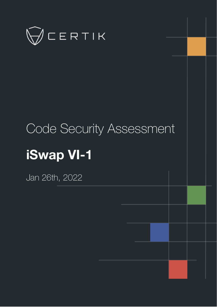

# Code Security Assessment **iSwap VI-1**

Jan 26th, 2022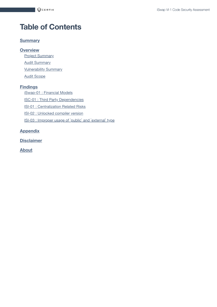# **Table of Contents**

#### **[Summary](#page-2-0)**

#### **[Overview](#page-3-0)**

**Project [Summary](#page-3-1) Audit [Summary](#page-3-2) [Vulnerability Summary](#page-3-3)** Audit [Scope](#page-4-0)

#### **[Findings](#page-5-0)**

[iSwap-01](#page-6-0) : Financial Models

ISC-01 : Third [Party Dependencies](#page-8-0)

ISI-01 : [Centralization](#page-9-0) Related Risks

ISI-02 : [Unlocked](#page-16-0) compiler version

ISI-03 : [Improper](#page-17-0) usage of `public` and `external` type

#### **[Appendix](#page-18-0)**

**[Disclaimer](#page-19-0)**

**[About](#page-22-0)**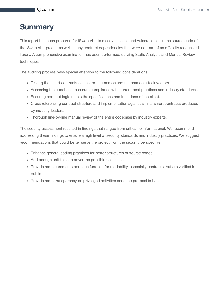## <span id="page-2-0"></span>**Summary**

This report has been prepared for iSwap VI-1 to discover issues and vulnerabilities in the source code of the iSwap VI-1 project as well as any contract dependencies that were not part of an officially recognized library. A comprehensive examination has been performed, utilizing Static Analysis and Manual Review techniques.

The auditing process pays special attention to the following considerations:

- Testing the smart contracts against both common and uncommon attack vectors.
- Assessing the codebase to ensure compliance with current best practices and industry standards.
- Ensuring contract logic meets the specifications and intentions of the client.
- Cross referencing contract structure and implementation against similar smart contracts produced by industry leaders.
- Thorough line-by-line manual review of the entire codebase by industry experts.

The security assessment resulted in findings that ranged from critical to informational. We recommend addressing these findings to ensure a high level of security standards and industry practices. We suggest recommendations that could better serve the project from the security perspective:

- Enhance general coding practices for better structures of source codes;
- Add enough unit tests to cover the possible use cases;
- Provide more comments per each function for readability, especially contracts that are verified in public;
- Provide more transparency on privileged activities once the protocol is live.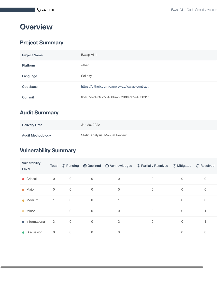# <span id="page-3-0"></span>**Overview**

## <span id="page-3-1"></span>**Project Summary**

| <b>Project Name</b> | iSwap VI-1                                  |
|---------------------|---------------------------------------------|
| <b>Platform</b>     | other                                       |
| Language            | Solidity                                    |
| Codebase            | https://github.com/dappiswap/iswap-contract |
| Commit              | 65e07ded9f18c53460ba2279f8fac05e433091f8    |
|                     |                                             |

## <span id="page-3-2"></span>**Audit Summary**

| <b>Delivery Date</b>     | Jan 26, 2022                   |
|--------------------------|--------------------------------|
| <b>Audit Methodology</b> | Static Analysis, Manual Review |

## <span id="page-3-3"></span>**Vulnerability Summary**

| Vulnerability<br>Level  | Total        | <b>① Pending</b> |             |                | ⓒ Declined ① Acknowledged © Partially Resolved | <b>O</b> Mitigated | ⊙ Resolved |
|-------------------------|--------------|------------------|-------------|----------------|------------------------------------------------|--------------------|------------|
| $\bullet$ Critical      | $\mathbf 0$  | $\mathbf 0$      | $\mathbf 0$ | $\mathbf 0$    | $\mathbf 0$                                    | $\Omega$           | 0          |
| • Major                 | $\mathbf 0$  | 0                | 0           | 0              | 0                                              | $\mathbf{0}$       | 0          |
| $\bullet$ Medium        | $\mathbf{1}$ | $\mathbf 0$      | $\mathbf 0$ |                | 0                                              | 0                  | 0          |
| $\bullet$ Minor         | $\mathbf{1}$ | $\mathsf{O}$     | 0           | $\mathbf 0$    | 0                                              | $\mathbf 0$        |            |
| $\bullet$ Informational | 3            | $\mathbf 0$      | 0           | $\overline{c}$ | $\mathbf 0$                                    | 0                  |            |
| • Discussion            | $\mathbf 0$  | $\mathbf 0$      | 0           | 0              | 0                                              | $\mathbf 0$        | 0          |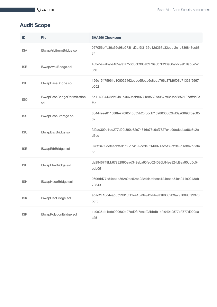## <span id="page-4-0"></span>**Audit Scope**

| ID         | File                                | <b>SHA256 Checksum</b>                                                            |
|------------|-------------------------------------|-----------------------------------------------------------------------------------|
| <b>ISA</b> | ISwapArbitrumBridge.sol             | 057056bffc36a69e98b273f1d2af9f3135d12d367a32edcf2e1c836848cc68<br>7f              |
| <b>ISB</b> | ISwapAvaxBridge.sol                 | 483e5e2ababe105afafa756d8cb306ab976e6b7b2f3e68abf79ef19ab8e52<br>8c0              |
| <b>ISI</b> | ISwapBaseBridge.sol                 | 156e15475961d108052462ebed65eab6c8eda766a37bf6f08b71333f5967<br>b052              |
| <b>ISO</b> | ISwapBaseBridgeOptimization.<br>sol | 5e114034448de94c1a4069aab807718d5627a357af020be8852107cffdc0a<br>f <sub>5</sub> b |
| <b>ISS</b> | ISwapBaseStorage.sol                | 80444eae611c88fe770f654d635b23f66cf71da8630862bd3aa6f69dfbec05<br>62              |
| <b>ISC</b> | ISwapBscBridge.sol                  | fd9ad309b1dd277d20f390e62e74316a73e9af7827e4e9dcdeabad6e7c2a<br>d6ec              |
| <b>ISE</b> | ISwapEthBridge.sol                  | 07823469defeecbf5d1f68d74192ccde3f14d074ec5f89c29a9d1d8b7c5afa<br>66              |
| <b>ISF</b> | ISwapFtmBridge.sol                  | da9946749bb67932990ead349eba65fed024086b84ee824d8aa90cd5c54<br>bcb05              |
| <b>ISH</b> | ISwapHecoBridge.sol                 | 0696dd77e54eb4d862b2ac52b42224d4afbcae124cbed54ca941a02438b<br>78849              |
| <b>ISK</b> | ISwapOecBridge.sol                  | adad2c13d4ead6b99913f11e415a9e942dde9a168362b3a7970895fe9376<br>b8f5              |
| <b>ISP</b> | ISwapPolygonBridge.sol              | 1a0c35db1d6e900602497cd9fa7eaef22bbdb14fc949a9577cff377d920c0<br>c25              |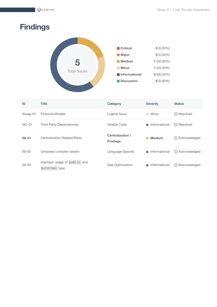# <span id="page-5-0"></span>**Findings**



| ID       | <b>Title</b>                                  | Category                             | <b>Severity</b> | <b>Status</b>      |
|----------|-----------------------------------------------|--------------------------------------|-----------------|--------------------|
| iSwap-01 | <b>Financial Models</b>                       | Logical Issue                        | Minor           | $\oslash$ Resolved |
| $ISC-01$ | <b>Third Party Dependencies</b>               | <b>Volatile Code</b>                 | • Informational | ⊙ Resolved         |
| $ISI-01$ | <b>Centralization Related Risks</b>           | Centralization /<br><b>Privilege</b> | <b>Medium</b>   | (i) Acknowledged   |
| $ISI-02$ | Unlocked compiler version                     | Language Specific                    | • Informational | (i) Acknowledged   |
| $ISI-03$ | Improper usage of public and<br>external type | <b>Gas Optimization</b>              | • Informational | (i) Acknowledged   |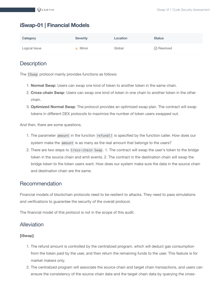#### <span id="page-6-0"></span>**iSwap-01 | Financial Models**

| Category      | <b>Severity</b> | Location | <b>Status</b>      |
|---------------|-----------------|----------|--------------------|
| Logical Issue | Minor           | Global   | $\oslash$ Resolved |

#### **Description**

The ISwap protocol mainly provides functions as follows:

- 1. **Normal Swap**: Users can swap one kind of token to another token in the same chain.
- 2. **Cross-chain Swap**: Users can swap one kind of token in one chain to another token in the other chain.
- 3. **Optimized Normal Swap**: The protocol provides an optimized swap plan. The contract will swap tokens in different DEX protocols to maximize the number of token users swapped out.

And then, there are some questions.

- 1. The parameter amount in the function refund() is specified by the function caller. How does our system make the amount is as many as the real amount that belongs to the users?
- 2. There are two steps to Cross-chain Swap . 1. The contract will swap the user's token to the bridge token in the source chain and emit events. 2. The contract in the destination chain will swap the bridge token to the token users want. How does our system make sure the data in the source chain and destination chain are the same.

#### Recommendation

Financial models of blockchain protocols need to be resilient to attacks. They need to pass simulations and verifications to guarantee the security of the overall protocol.

The financial model of this protocol is not in the scope of this audit.

#### Alleviation

#### **[iSwap]**:

- 1. The refund amount is controlled by the centralized program, which will deduct gas consumption from the token paid by the user, and then return the remaining funds to the user. This feature is for market makers only.
- 2. The centralized program will associate the source chain and target chain transactions, and users can ensure the consistency of the source chain data and the target chain data by querying the cross-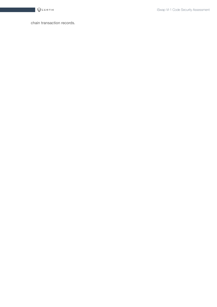

chain transaction records.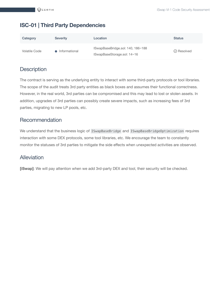#### <span id="page-8-0"></span>**ISC-01 | Third Party Dependencies**

| Category      | <b>Severity</b> | Location                                                         | <b>Status</b>      |
|---------------|-----------------|------------------------------------------------------------------|--------------------|
| Volatile Code | • Informational | ISwapBaseBridge.sol: 140, 186~188<br>ISwapBaseStorage.sol: 14~16 | $\oslash$ Resolved |

#### **Description**

The contract is serving as the underlying entity to interact with some third-party protocols or tool libraries. The scope of the audit treats 3rd party entities as black boxes and assumes their functional correctness. However, in the real world, 3rd parties can be compromised and this may lead to lost or stolen assets. In addition, upgrades of 3rd parties can possibly create severe impacts, such as increasing fees of 3rd parties, migrating to new LP pools, etc.

#### Recommendation

We understand that the business logic of ISwapBaseBridge and ISwapBaseBridgeOptimization requires interaction with some DEX protocols, some tool libraries, etc. We encourage the team to constantly monitor the statuses of 3rd parties to mitigate the side effects when unexpected activities are observed.

#### Alleviation

**[iSwap]**: We will pay attention when we add 3rd-party DEX and tool, their security will be checked.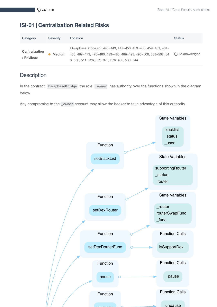#### <span id="page-9-0"></span>**ISI-01 | Centralization Related Risks**

| Category                             | <b>Severity</b> | Location                                                                                                                                                                               | <b>Status</b>    |
|--------------------------------------|-----------------|----------------------------------------------------------------------------------------------------------------------------------------------------------------------------------------|------------------|
| <b>Centralization</b><br>/ Privilege | <b>Medium</b>   | $\sqrt{64}$ SwapBaseBridge.sol: 440~443, 447~450, 453~456, 459~461, 464~<br>466, 469~473, 476~480, 483~486, 489~493, 496~500, 503~507, 54<br>8~556, 511~526, 359~373, 376~430, 530~544 | (i) Acknowledged |

#### **Description**

In the contract, ISwapBaseBridge, the role, \_owner, has authority over the functions shown in the diagram below.

Any compromise to the \_owner account may allow the hacker to take advantage of this authority.

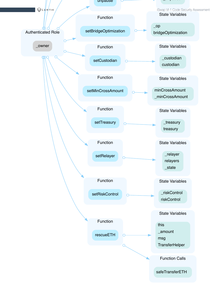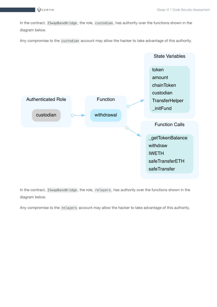$\bigotimes$ CERTIK

In the contract, ISwapBaseBridge, the role, custodian, has authority over the functions shown in the diagram below.

Any compromise to the custodian account may allow the hacker to take advantage of this authority.



In the contract, ISwapBaseBridge , the role, relayers , has authority over the functions shown in the diagram below.

Any compromise to the relayers account may allow the hacker to take advantage of this authority.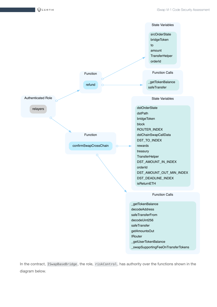$\bigotimes$ CERTIK



In the contract, ISwapBaseBridge, the role, riskControl, has authority over the functions shown in the diagram below.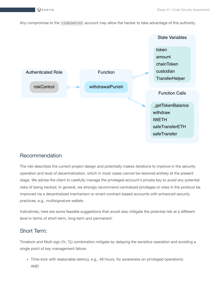Any compromise to the riskControl account may allow the hacker to take advantage of this authority.



#### Recommendation

The risk describes the current project design and potentially makes iterations to improve in the security operation and level of decentralization, which in most cases cannot be resolved entirely at the present stage. We advise the client to carefully manage the privileged account's private key to avoid any potential risks of being hacked. In general, we strongly recommend centralized privileges or roles in the protocol be improved via a decentralized mechanism or smart-contract-based accounts with enhanced security practices, e.g., multisignature wallets.

Indicatively, here are some feasible suggestions that would also mitigate the potential risk at a different level in terms of short-term, long-term and permanent:

#### Short Term:

Timelock and Multi sign (⅔, ⅗) combination *mitigate* by delaying the sensitive operation and avoiding a single point of key management failure.

• Time-lock with reasonable latency, e.g., 48 hours, for awareness on privileged operations; AND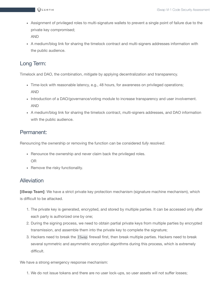- Assignment of privileged roles to multi-signature wallets to prevent a single point of failure due to the private key compromised; AND
- A medium/blog link for sharing the timelock contract and multi-signers addresses information with the public audience.

#### Long Term:

Timelock and DAO, the combination, *mitigate* by applying decentralization and transparency.

- Time-lock with reasonable latency, e.g., 48 hours, for awareness on privileged operations; AND
- Introduction of a DAO/governance/voting module to increase transparency and user involvement. AND
- A medium/blog link for sharing the timelock contract, multi-signers addresses, and DAO information with the public audience.

#### Permanent:

Renouncing the ownership or removing the function can be considered *fully resolved*.

- Renounce the ownership and never claim back the privileged roles. OR
- Remove the risky functionality.

#### **Alleviation**

**[iSwap Team]**: We have a strict private key protection mechanism (signature machine mechanism), which is difficult to be attacked.

- 1. The private key is generated, encrypted, and stored by multiple parties. It can be accessed only after each party is authorized one by one;
- 2. During the signing process, we need to obtain partial private keys from multiple parties by encrypted transmission, and assemble them into the private key to complete the signature;
- 3. Hackers need to break the ISwap firewall first, then break multiple parties. Hackers need to break several symmetric and asymmetric encryption algorithms during this process, which is extremely difficult.

We have a strong emergency response mechanism:

1. We do not issue tokens and there are no user lock-ups, so user assets will not suffer losses;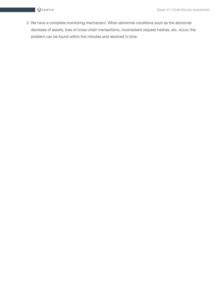2. We have a complete monitoring mechanism. When abnormal conditions such as the abnormal decrease of assets, loss of cross-chain transactions, inconsistent request hashes, etc. occur, the problem can be found within five minutes and resolved in time.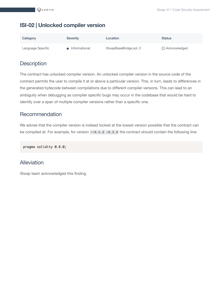#### <span id="page-16-0"></span>**ISI-02 | Unlocked compiler version**

| Category          | <b>Severity</b> | Location               | <b>Status</b>    |
|-------------------|-----------------|------------------------|------------------|
| Language Specific | Informational   | ISwapBaseBridge.sol: 2 | (i) Acknowledged |

#### **Description**

The contract has unlocked compiler version. An unlocked compiler version in the source code of the contract permits the user to compile it at or above a particular version. This, in turn, leads to differences in the generated bytecode between compilations due to different compiler versions. This can lead to an ambiguity when debugging as compiler specific bugs may occur in the codebase that would be hard to identify over a span of multiple compiler versions rather than a specific one.

#### Recommendation

We advise that the compiler version is instead locked at the lowest version possible that the contract can be compiled at. For example, for version >=0.6.0 <0.8.0 the contract should contain the following line:

pragma solidity 0.8.0;

#### Alleviation

iSwap team acknowledged this finding.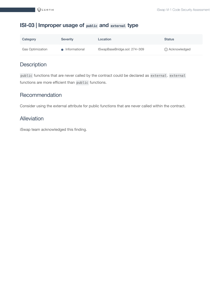#### <span id="page-17-0"></span>**ISI-03 | Improper usage of public and external type**

| Category                | <b>Severity</b> | Location                     | <b>Status</b>    |
|-------------------------|-----------------|------------------------------|------------------|
| <b>Gas Optimization</b> | • Informational | ISwapBaseBridge.sol: 274~309 | (i) Acknowledged |

## **Description**

public functions that are never called by the contract could be declared as external . external functions are more efficient than public functions.

#### **Recommendation**

Consider using the external attribute for public functions that are never called within the contract.

#### Alleviation

iSwap team acknowledged this finding.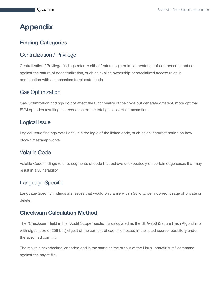# <span id="page-18-0"></span>**Appendix**

#### **Finding Categories**

#### Centralization / Privilege

Centralization / Privilege findings refer to either feature logic or implementation of components that act against the nature of decentralization, such as explicit ownership or specialized access roles in combination with a mechanism to relocate funds.

#### Gas Optimization

Gas Optimization findings do not affect the functionality of the code but generate different, more optimal EVM opcodes resulting in a reduction on the total gas cost of a transaction.

#### Logical Issue

Logical Issue findings detail a fault in the logic of the linked code, such as an incorrect notion on how block.timestamp works.

#### Volatile Code

Volatile Code findings refer to segments of code that behave unexpectedly on certain edge cases that may result in a vulnerability.

#### Language Specific

Language Specific findings are issues that would only arise within Solidity, i.e. incorrect usage of private or delete.

#### **Checksum Calculation Method**

The "Checksum" field in the "Audit Scope" section is calculated as the SHA-256 (Secure Hash Algorithm 2 with digest size of 256 bits) digest of the content of each file hosted in the listed source repository under the specified commit.

The result is hexadecimal encoded and is the same as the output of the Linux "sha256sum" command against the target file.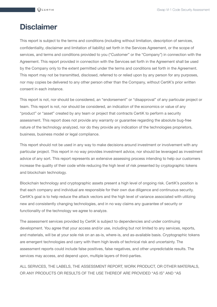## <span id="page-19-0"></span>**Disclaimer**

This report is subject to the terms and conditions (including without limitation, description of services, confidentiality, disclaimer and limitation of liability) set forth in the Services Agreement, or the scope of services, and terms and conditions provided to you ("Customer" or the "Company") in connection with the Agreement. This report provided in connection with the Services set forth in the Agreement shall be used by the Company only to the extent permitted under the terms and conditions set forth in the Agreement. This report may not be transmitted, disclosed, referred to or relied upon by any person for any purposes, nor may copies be delivered to any other person other than the Company, without CertiK's prior written consent in each instance.

This report is not, nor should be considered, an "endorsement" or "disapproval" of any particular project or team. This report is not, nor should be considered, an indication of the economics or value of any "product" or "asset" created by any team or project that contracts CertiK to perform a security assessment. This report does not provide any warranty or guarantee regarding the absolute bug-free nature of the technology analyzed, nor do they provide any indication of the technologies proprietors, business, business model or legal compliance.

This report should not be used in any way to make decisions around investment or involvement with any particular project. This report in no way provides investment advice, nor should be leveraged as investment advice of any sort. This report represents an extensive assessing process intending to help our customers increase the quality of their code while reducing the high level of risk presented by cryptographic tokens and blockchain technology.

Blockchain technology and cryptographic assets present a high level of ongoing risk. CertiK's position is that each company and individual are responsible for their own due diligence and continuous security. CertiK's goal is to help reduce the attack vectors and the high level of variance associated with utilizing new and consistently changing technologies, and in no way claims any guarantee of security or functionality of the technology we agree to analyze.

The assessment services provided by CertiK is subject to dependencies and under continuing development. You agree that your access and/or use, including but not limited to any services, reports, and materials, will be at your sole risk on an as-is, where-is, and as-available basis. Cryptographic tokens are emergent technologies and carry with them high levels of technical risk and uncertainty. The assessment reports could include false positives, false negatives, and other unpredictable results. The services may access, and depend upon, multiple layers of third-parties.

ALL SERVICES, THE LABELS, THE ASSESSMENT REPORT, WORK PRODUCT, OR OTHER MATERIALS, OR ANY PRODUCTS OR RESULTS OF THE USE THEREOF ARE PROVIDED "AS IS" AND "AS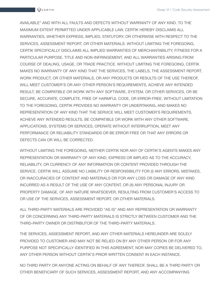AVAILABLE" AND WITH ALL FAULTS AND DEFECTS WITHOUT WARRANTY OF ANY KIND. TO THE MAXIMUM EXTENT PERMITTED UNDER APPLICABLE LAW, CERTIK HEREBY DISCLAIMS ALL WARRANTIES, WHETHER EXPRESS, IMPLIED, STATUTORY, OR OTHERWISE WITH RESPECT TO THE SERVICES, ASSESSMENT REPORT, OR OTHER MATERIALS. WITHOUT LIMITING THE FOREGOING, CERTIK SPECIFICALLY DISCLAIMS ALL IMPLIED WARRANTIES OF MERCHANTABILITY, FITNESS FOR A PARTICULAR PURPOSE, TITLE AND NON-INFRINGEMENT, AND ALL WARRANTIES ARISING FROM COURSE OF DEALING, USAGE, OR TRADE PRACTICE. WITHOUT LIMITING THE FOREGOING, CERTIK MAKES NO WARRANTY OF ANY KIND THAT THE SERVICES, THE LABELS, THE ASSESSMENT REPORT, WORK PRODUCT, OR OTHER MATERIALS, OR ANY PRODUCTS OR RESULTS OF THE USE THEREOF, WILL MEET CUSTOMER'S OR ANY OTHER PERSON'S REQUIREMENTS, ACHIEVE ANY INTENDED RESULT, BE COMPATIBLE OR WORK WITH ANY SOFTWARE, SYSTEM, OR OTHER SERVICES, OR BE SECURE, ACCURATE, COMPLETE, FREE OF HARMFUL CODE, OR ERROR-FREE. WITHOUT LIMITATION TO THE FOREGOING, CERTIK PROVIDES NO WARRANTY OR UNDERTAKING, AND MAKES NO REPRESENTATION OF ANY KIND THAT THE SERVICE WILL MEET CUSTOMER'S REQUIREMENTS, ACHIEVE ANY INTENDED RESULTS, BE COMPATIBLE OR WORK WITH ANY OTHER SOFTWARE, APPLICATIONS, SYSTEMS OR SERVICES, OPERATE WITHOUT INTERRUPTION, MEET ANY PERFORMANCE OR RELIABILITY STANDARDS OR BE ERROR FREE OR THAT ANY ERRORS OR DEFECTS CAN OR WILL BE CORRECTED.

WITHOUT LIMITING THE FOREGOING, NEITHER CERTIK NOR ANY OF CERTIK'S AGENTS MAKES ANY REPRESENTATION OR WARRANTY OF ANY KIND, EXPRESS OR IMPLIED AS TO THE ACCURACY, RELIABILITY, OR CURRENCY OF ANY INFORMATION OR CONTENT PROVIDED THROUGH THE SERVICE. CERTIK WILL ASSUME NO LIABILITY OR RESPONSIBILITY FOR (I) ANY ERRORS, MISTAKES, OR INACCURACIES OF CONTENT AND MATERIALS OR FOR ANY LOSS OR DAMAGE OF ANY KIND INCURRED AS A RESULT OF THE USE OF ANY CONTENT, OR (II) ANY PERSONAL INJURY OR PROPERTY DAMAGE, OF ANY NATURE WHATSOEVER, RESULTING FROM CUSTOMER'S ACCESS TO OR USE OF THE SERVICES, ASSESSMENT REPORT, OR OTHER MATERIALS.

ALL THIRD-PARTY MATERIALS ARE PROVIDED "AS IS" AND ANY REPRESENTATION OR WARRANTY OF OR CONCERNING ANY THIRD-PARTY MATERIALS IS STRICTLY BETWEEN CUSTOMER AND THE THIRD-PARTY OWNER OR DISTRIBUTOR OF THE THIRD-PARTY MATERIALS.

THE SERVICES, ASSESSMENT REPORT, AND ANY OTHER MATERIALS HEREUNDER ARE SOLELY PROVIDED TO CUSTOMER AND MAY NOT BE RELIED ON BY ANY OTHER PERSON OR FOR ANY PURPOSE NOT SPECIFICALLY IDENTIFIED IN THIS AGREEMENT, NOR MAY COPIES BE DELIVERED TO, ANY OTHER PERSON WITHOUT CERTIK'S PRIOR WRITTEN CONSENT IN EACH INSTANCE.

NO THIRD PARTY OR ANYONE ACTING ON BEHALF OF ANY THEREOF, SHALL BE A THIRD PARTY OR OTHER BENEFICIARY OF SUCH SERVICES, ASSESSMENT REPORT, AND ANY ACCOMPANYING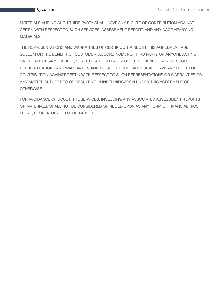MATERIALS AND NO SUCH THIRD PARTY SHALL HAVE ANY RIGHTS OF CONTRIBUTION AGAINST CERTIK WITH RESPECT TO SUCH SERVICES, ASSESSMENT REPORT, AND ANY ACCOMPANYING MATERIALS.

THE REPRESENTATIONS AND WARRANTIES OF CERTIK CONTAINED IN THIS AGREEMENT ARE SOLELY FOR THE BENEFIT OF CUSTOMER. ACCORDINGLY, NO THIRD PARTY OR ANYONE ACTING ON BEHALF OF ANY THEREOF, SHALL BE A THIRD PARTY OR OTHER BENEFICIARY OF SUCH REPRESENTATIONS AND WARRANTIES AND NO SUCH THIRD PARTY SHALL HAVE ANY RIGHTS OF CONTRIBUTION AGAINST CERTIK WITH RESPECT TO SUCH REPRESENTATIONS OR WARRANTIES OR ANY MATTER SUBJECT TO OR RESULTING IN INDEMNIFICATION UNDER THIS AGREEMENT OR OTHERWISE.

FOR AVOIDANCE OF DOUBT, THE SERVICES, INCLUDING ANY ASSOCIATED ASSESSMENT REPORTS OR MATERIALS, SHALL NOT BE CONSIDERED OR RELIED UPON AS ANY FORM OF FINANCIAL, TAX, LEGAL, REGULATORY, OR OTHER ADVICE.